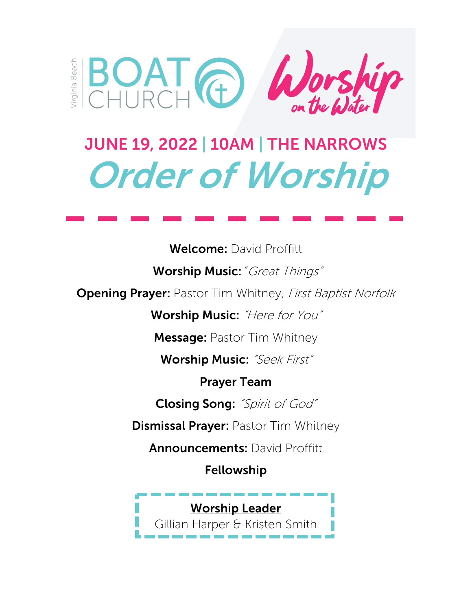

# JUNE 19, 2022 | 10AM | THE NARROWS Order of Worship

Welcome: David Proffitt Worship Music: "Great Things" **Opening Prayer:** Pastor Tim Whitney, First Baptist Norfolk Worship Music: "Here for You" **Message:** Pastor Tim Whitney Worship Music: "Seek First" Prayer Team Closing Song: "Spirit of God" **Dismissal Prayer: Pastor Tim Whitney Announcements: David Proffitt** Fellowship Worship Leader Gillian Harper & Kristen Smith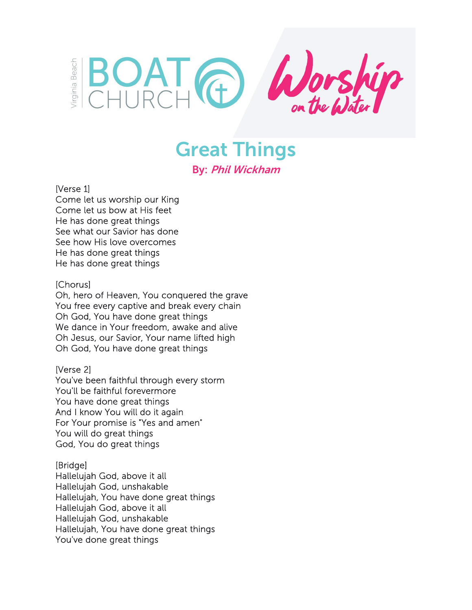

## Great Things By: Phil Wickham

#### [Verse 1]

Come let us worship our King Come let us bow at His feet He has done great things See what our Savior has done See how His love overcomes He has done great things He has done great things

#### [Chorus]

Oh, hero of Heaven, You conquered the grave You free every captive and break every chain Oh God, You have done great things We dance in Your freedom, awake and alive Oh Jesus, our Savior, Your name lifted high Oh God, You have done great things

#### [Verse 2]

You've been faithful through every storm You'll be faithful forevermore You have done great things And I know You will do it again For Your promise is "Yes and amen" You will do great things God, You do great things

#### [Bridge]

Hallelujah God, above it all Hallelujah God, unshakable Hallelujah, You have done great things Hallelujah God, above it all Hallelujah God, unshakable Hallelujah, You have done great things You've done great things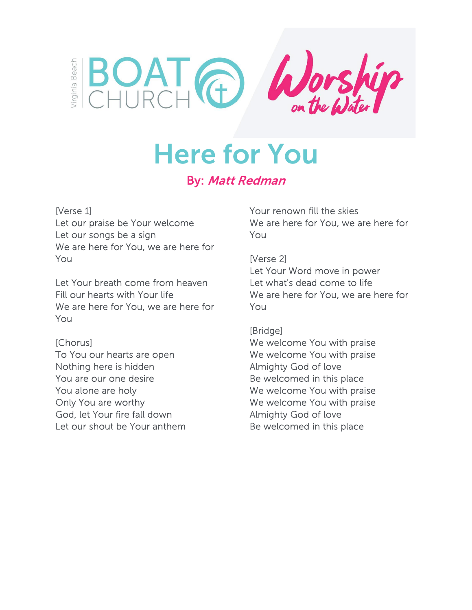

## Here for You

## By: Matt Redman

### [Verse 1]

Let our praise be Your welcome Let our songs be a sign We are here for You, we are here for You

Let Your breath come from heaven Fill our hearts with Your life We are here for You, we are here for You

### [Chorus]

To You our hearts are open Nothing here is hidden You are our one desire You alone are holy Only You are worthy God, let Your fire fall down Let our shout be Your anthem Your renown fill the skies We are here for You, we are here for You

## [Verse 2]

Let Your Word move in power Let what's dead come to life We are here for You, we are here for You

## [Bridge]

We welcome You with praise We welcome You with praise Almighty God of love Be welcomed in this place We welcome You with praise We welcome You with praise Almighty God of love Be welcomed in this place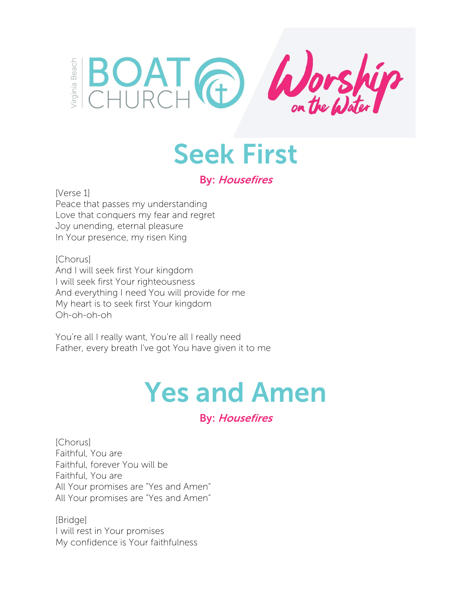

## Seek First

## By: Housefires

[Verse 1] Peace that passes my understanding Love that conquers my fear and regret Joy unending, eternal pleasure In Your presence, my risen King

[Chorus] And I will seek first Your kingdom I will seek first Your righteousness And everything I need You will provide for me My heart is to seek first Your kingdom Oh-oh-oh-oh

You're all I really want, You're all I really need Father, every breath I've got You have given it to me

## Yes and Amen

By: Housefires

[Chorus] Faithful, You are Faithful, forever You will be Faithful, You are All Your promises are "Yes and Amen" All Your promises are "Yes and Amen"

[Bridge] I will rest in Your promises My confidence is Your faithfulness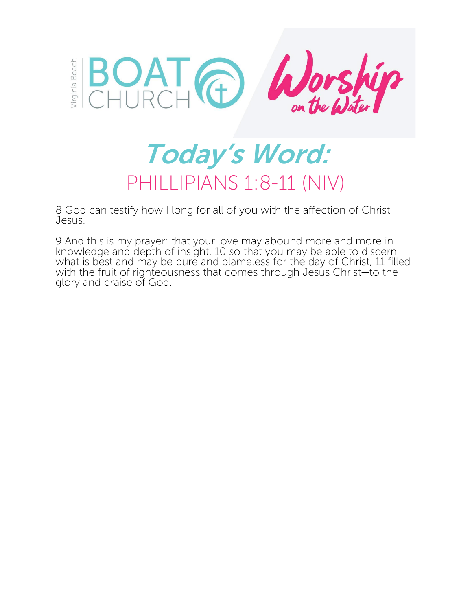

## Today's Word: PHILLIPIANS 1:8-11 (NIV)

8 God can testify how I long for all of you with the affection of Christ Jesus.

9 And this is my prayer: that your love may abound more and more in knowledge and depth of insight, 10 so that you may be able to discern what is best and may be pure and blameless for the day of Christ, 11 filled with the fruit of righteousness that comes through Jesus Christ—to the glory and praise of God.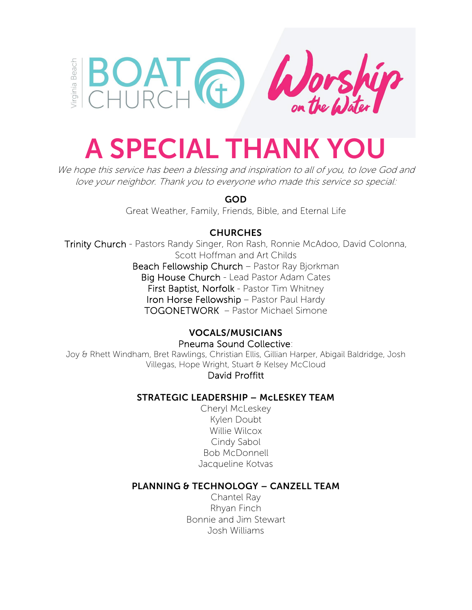

## A SPECIAL THANK YOU

We hope this service has been a blessing and inspiration to all of you, to love God and love your neighbor. Thank you to everyone who made this service so special:

GOD

Great Weather, Family, Friends, Bible, and Eternal Life

## **CHURCHES**

Trinity Church - Pastors Randy Singer, Ron Rash, Ronnie McAdoo, David Colonna, Scott Hoffman and Art Childs Beach Fellowship Church – Pastor Ray Bjorkman Big House Church - Lead Pastor Adam Cates First Baptist, Norfolk - Pastor Tim Whitney Iron Horse Fellowship – Pastor Paul Hardy TOGONETWORK – Pastor Michael Simone

### VOCALS/MUSICIANS Pneuma Sound Collective:

Joy & Rhett Windham, Bret Rawlings, Christian Ellis, Gillian Harper, Abigail Baldridge, Josh Villegas, Hope Wright, Stuart & Kelsey McCloud

David Proffitt

### STRATEGIC LEADERSHIP – McLESKEY TEAM

Cheryl McLeskey Kylen Doubt Willie Wilcox Cindy Sabol Bob McDonnell Jacqueline Kotvas

### PLANNING & TECHNOLOGY – CANZELL TEAM

Chantel Ray Rhyan Finch Bonnie and Jim Stewart Josh Williams